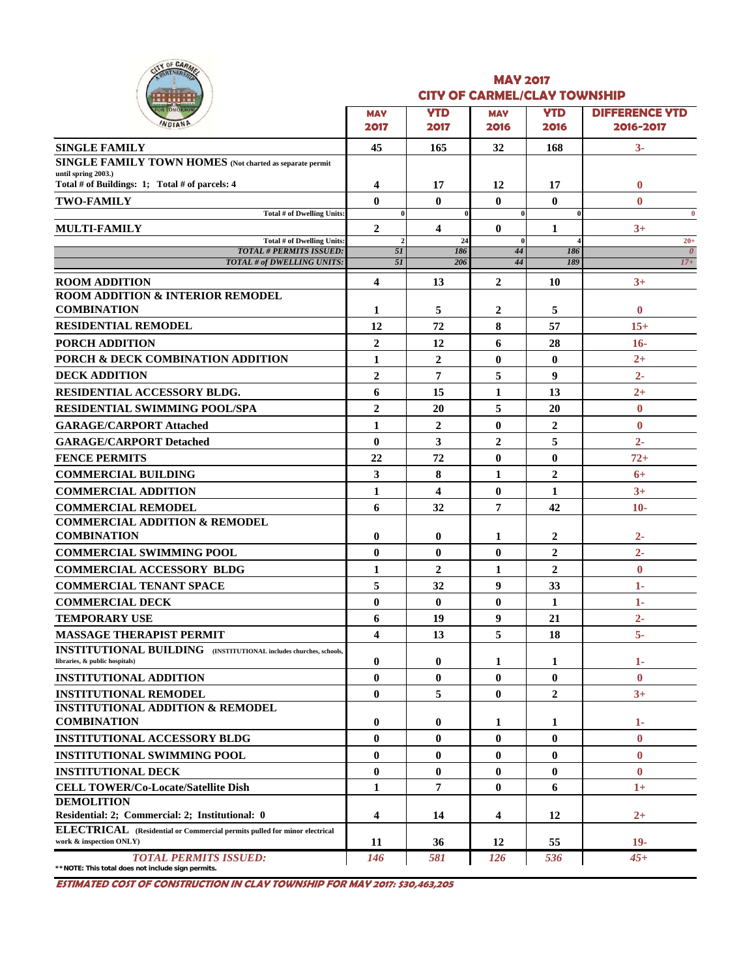|  | <b>SF CARMEL</b> |  |
|--|------------------|--|
|  |                  |  |
|  |                  |  |

### **MAY 2017 CITY OF CARMEL/CLAY TOWNSHIP**

| .                                                                                                           |                         |                               |                    |                    |                                    |
|-------------------------------------------------------------------------------------------------------------|-------------------------|-------------------------------|--------------------|--------------------|------------------------------------|
| OR TOMORROW<br>WDIAND                                                                                       | <b>MAY</b><br>2017      | <b>YTD</b><br>2017            | <b>MAY</b><br>2016 | <b>YTD</b><br>2016 | <b>DIFFERENCE YTD</b><br>2016-2017 |
|                                                                                                             |                         |                               |                    |                    |                                    |
| <b>SINGLE FAMILY</b><br>SINGLE FAMILY TOWN HOMES (Not charted as separate permit                            | 45                      | 165                           | 32                 | 168                | $3-$                               |
| until spring 2003.)                                                                                         |                         |                               |                    |                    |                                    |
| Total # of Buildings: 1; Total # of parcels: 4                                                              | 4                       | 17                            | 12                 | 17                 | $\bf{0}$                           |
| <b>TWO-FAMILY</b>                                                                                           | $\mathbf{0}$            | $\mathbf{0}$                  | $\bf{0}$           | $\bf{0}$           | $\mathbf{0}$                       |
| Total # of Dwelling Units:                                                                                  | $\bf{0}$                |                               | $\bf{0}$           |                    | $\bf{0}$                           |
| MULTI-FAMILY<br>Total # of Dwelling Units:                                                                  | $\overline{2}$          | $\overline{\mathbf{4}}$<br>24 | $\bf{0}$<br>0      | 1                  | $3+$<br>$20+$                      |
| <b>TOTAL # PERMITS ISSUED:</b>                                                                              | 5I                      | 186                           | 44                 | 186                | $\theta$                           |
| TOTAL # of DWELLING UNITS:                                                                                  | 51                      | 206                           | 44                 | 189                | $17+$                              |
| <b>ROOM ADDITION</b>                                                                                        | $\overline{\mathbf{4}}$ | 13                            | $\overline{2}$     | 10                 | $3+$                               |
| <b>ROOM ADDITION &amp; INTERIOR REMODEL</b>                                                                 |                         |                               |                    |                    |                                    |
| <b>COMBINATION</b>                                                                                          | 1                       | 5                             | $\overline{2}$     | 5                  | $\bf{0}$                           |
| <b>RESIDENTIAL REMODEL</b>                                                                                  | 12                      | 72                            | 8                  | 57                 | $15+$                              |
| <b>PORCH ADDITION</b>                                                                                       | $\overline{2}$          | 12                            | 6                  | 28                 | $16-$                              |
| PORCH & DECK COMBINATION ADDITION                                                                           | $\mathbf{1}$            | $\overline{2}$                | $\bf{0}$           | $\mathbf{0}$       | $2+$                               |
| <b>DECK ADDITION</b>                                                                                        | $\overline{2}$          | 7                             | 5                  | 9                  | $2 -$                              |
| <b>RESIDENTIAL ACCESSORY BLDG.</b>                                                                          | 6                       | 15                            | 1                  | 13                 | $2+$                               |
| <b>RESIDENTIAL SWIMMING POOL/SPA</b>                                                                        | $\overline{2}$          | 20                            | 5                  | 20                 | $\bf{0}$                           |
| <b>GARAGE/CARPORT Attached</b>                                                                              | $\mathbf{1}$            | $\overline{2}$                | $\bf{0}$           | $\overline{c}$     | $\bf{0}$                           |
| <b>GARAGE/CARPORT Detached</b>                                                                              | $\mathbf{0}$            | 3                             | $\overline{2}$     | 5                  | $2 -$                              |
| <b>FENCE PERMITS</b>                                                                                        | 22                      | 72                            | $\bf{0}$           | $\bf{0}$           | $72+$                              |
| <b>COMMERCIAL BUILDING</b>                                                                                  | 3                       | 8                             | 1                  | $\overline{2}$     | $6+$                               |
| <b>COMMERCIAL ADDITION</b>                                                                                  | 1                       | $\overline{\mathbf{4}}$       | $\bf{0}$           | $\mathbf{1}$       | $3+$                               |
|                                                                                                             | 6                       | 32                            | 7                  | 42                 | $10-$                              |
| <b>COMMERCIAL REMODEL</b><br><b>COMMERCIAL ADDITION &amp; REMODEL</b>                                       |                         |                               |                    |                    |                                    |
| <b>COMBINATION</b>                                                                                          | $\bf{0}$                | $\bf{0}$                      | 1                  | 2                  | $2-$                               |
| <b>COMMERCIAL SWIMMING POOL</b>                                                                             | $\bf{0}$                | $\mathbf{0}$                  | $\bf{0}$           | $\overline{2}$     | $2 -$                              |
| <b>COMMERCIAL ACCESSORY BLDG</b>                                                                            | 1                       | $\overline{2}$                | 1                  | $\overline{2}$     | $\bf{0}$                           |
| <b>COMMERCIAL TENANT SPACE</b>                                                                              | 5                       | 32                            | 9                  | 33                 | $1-$                               |
|                                                                                                             | $\bf{0}$                | $\mathbf{0}$                  | $\bf{0}$           | $\mathbf{1}$       | 1-                                 |
| <b>COMMERCIAL DECK</b>                                                                                      |                         |                               |                    |                    |                                    |
| <b>TEMPORARY USE</b>                                                                                        | 6                       | 19                            | 9                  | 21                 | $2 -$                              |
| <b>MASSAGE THERAPIST PERMIT</b><br><b>INSTITUTIONAL BUILDING</b> (INSTITUTIONAL includes churches, schools, | 4                       | 13                            | 5                  | 18                 | $5-$                               |
| libraries, & public hospitals)                                                                              | $\bf{0}$                | $\bf{0}$                      | 1                  | 1                  | $1-$                               |
| <b>INSTITUTIONAL ADDITION</b>                                                                               | $\mathbf{0}$            | $\bf{0}$                      | $\bf{0}$           | $\bf{0}$           | $\bf{0}$                           |
| <b>INSTITUTIONAL REMODEL</b>                                                                                | $\bf{0}$                | 5                             | $\bf{0}$           | $\boldsymbol{2}$   | $3+$                               |
| <b>INSTITUTIONAL ADDITION &amp; REMODEL</b>                                                                 |                         |                               |                    |                    |                                    |
| <b>COMBINATION</b>                                                                                          | $\bf{0}$                | $\bf{0}$                      | 1                  | 1                  | $1-$                               |
| <b>INSTITUTIONAL ACCESSORY BLDG</b>                                                                         | $\bf{0}$                | $\bf{0}$                      | $\bf{0}$           | $\bf{0}$           | $\bf{0}$                           |
| <b>INSTITUTIONAL SWIMMING POOL</b>                                                                          | $\bf{0}$                | $\bf{0}$                      | $\bf{0}$           | $\bf{0}$           | $\bf{0}$                           |
| <b>INSTITUTIONAL DECK</b>                                                                                   | $\bf{0}$                | $\mathbf{0}$                  | $\bf{0}$           | $\bf{0}$           | $\mathbf{0}$                       |
| <b>CELL TOWER/Co-Locate/Satellite Dish</b>                                                                  | $\mathbf{1}$            | 7                             | $\bf{0}$           | 6                  | $1+$                               |
| <b>DEMOLITION</b>                                                                                           |                         |                               |                    |                    |                                    |
| Residential: 2; Commercial: 2; Institutional: 0                                                             | 4                       | 14                            | 4                  | 12                 | $^{2+}$                            |
| ELECTRICAL (Residential or Commercial permits pulled for minor electrical<br>work & inspection ONLY)        | 11                      | 36                            | 12                 | 55                 | $19-$                              |
| <b>TOTAL PERMITS ISSUED:</b>                                                                                | 146                     | 581                           | 126                | 536                | $45+$                              |
|                                                                                                             |                         |                               |                    |                    |                                    |

**\*\*NOTE: This total does not include sign permits.**

**ESTIMATED COST OF CONSTRUCTION IN CLAY TOWNSHIP FOR MAY 2017: \$30,463,205**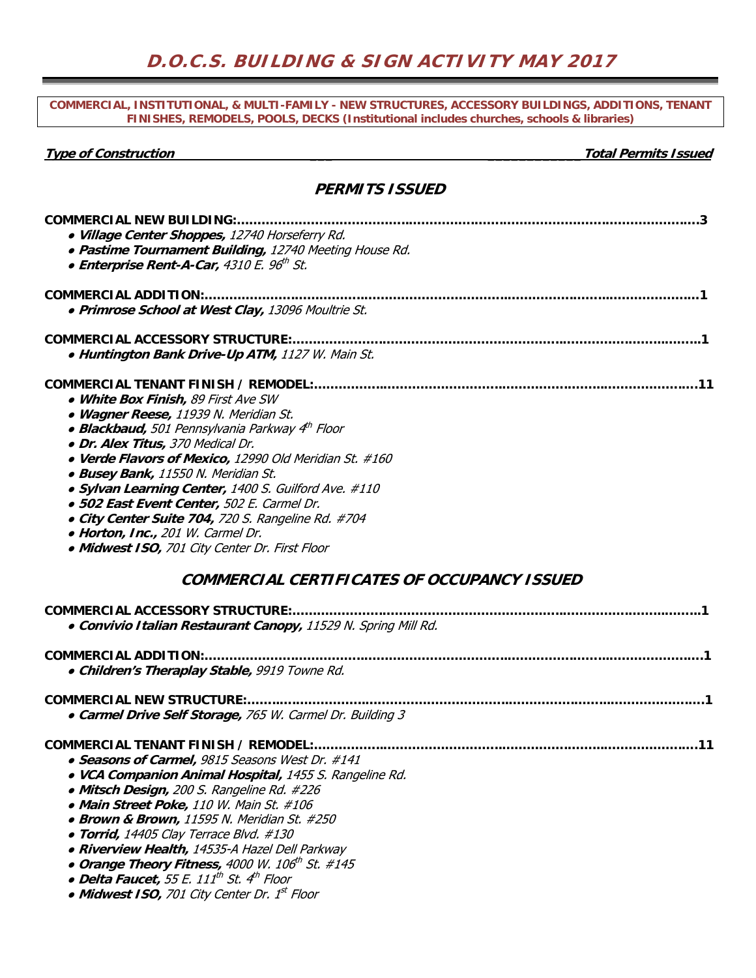### **COMMERCIAL, INSTITUTIONAL, & MULTI-FAMILY - NEW STRUCTURES, ACCESSORY BUILDINGS, ADDITIONS, TENANT FINISHES, REMODELS, POOLS, DECKS (Institutional includes churches, schools & libraries)**

**Type of Construction \_\_\_ \_\_\_\_\_\_\_\_\_\_\_\_Total Permits Issued** 

| <b>PERMITS ISSUED</b>                                                                                                                                                                                                                                                                                                                                                                                                                                                                                                                                           |
|-----------------------------------------------------------------------------------------------------------------------------------------------------------------------------------------------------------------------------------------------------------------------------------------------------------------------------------------------------------------------------------------------------------------------------------------------------------------------------------------------------------------------------------------------------------------|
| <b>COMMERCIAL NEW BUILDING:</b><br>· Village Center Shoppes, 12740 Horseferry Rd.<br>• Pastime Tournament Building, 12740 Meeting House Rd.<br>• Enterprise Rent-A-Car, 4310 E. 96th St.                                                                                                                                                                                                                                                                                                                                                                        |
| <b>COMMERCIAL ADDITION:.</b><br>· Primrose School at West Clay, 13096 Moultrie St.                                                                                                                                                                                                                                                                                                                                                                                                                                                                              |
| <b>COMMERCIAL ACCESSORY STRUCTURE:</b><br>• Huntington Bank Drive-Up ATM, 1127 W. Main St.                                                                                                                                                                                                                                                                                                                                                                                                                                                                      |
| COMMERCIAL TENANT FINISH / REMODEL:<br>• White Box Finish, 89 First Ave SW<br>• Wagner Reese, 11939 N. Meridian St.<br>• Blackbaud, 501 Pennsylvania Parkway 4th Floor<br>• Dr. Alex Titus, 370 Medical Dr.<br>• Verde Flavors of Mexico, 12990 Old Meridian St. #160<br>• Busey Bank, 11550 N. Meridian St.<br>• Sylvan Learning Center, 1400 S. Guilford Ave. #110<br>· 502 East Event Center, 502 E. Carmel Dr.<br>• City Center Suite 704, 720 S. Rangeline Rd. #704<br>• Horton, Inc., 201 W. Carmel Dr.<br>• Midwest ISO, 701 City Center Dr. First Floor |
| COMMERCIAL CERTIFICATES OF OCCUPANCY ISSUED                                                                                                                                                                                                                                                                                                                                                                                                                                                                                                                     |
| COMMEDCIAL ACCESSONY STRUCTURE                                                                                                                                                                                                                                                                                                                                                                                                                                                                                                                                  |

| COMMERCIAL ACCESSORY STRUCTURE:.                                  |  |
|-------------------------------------------------------------------|--|
| · Convivio Italian Restaurant Canopy, 11529 N. Spring Mill Rd.    |  |
| COMMERCIAL ADDITION:                                              |  |
| · Children's Theraplay Stable, 9919 Towne Rd.                     |  |
|                                                                   |  |
| • Carmel Drive Self Storage, 765 W. Carmel Dr. Building 3         |  |
| COMMERCIAL TENANT FINISH / REMODEL:.                              |  |
| • Seasons of Carmel, 9815 Seasons West Dr. #141                   |  |
| • VCA Companion Animal Hospital, 1455 S. Rangeline Rd.            |  |
| • Mitsch Design, 200 S. Rangeline Rd. #226                        |  |
| • Main Street Poke, 110 W. Main St. #106                          |  |
| • Brown & Brown, 11595 N. Meridian St. #250                       |  |
| • Torrid, 14405 Clay Terrace Blvd. #130                           |  |
| • Riverview Health, 14535-A Hazel Dell Parkway                    |  |
| • Orange Theory Fitness, 4000 W. 106 <sup>th</sup> St. #145       |  |
| • Delta Faucet, 55 E. 111 <sup>th</sup> St. 4 <sup>th</sup> Floor |  |
| • Midwest ISO, 701 City Center Dr. 1st Floor                      |  |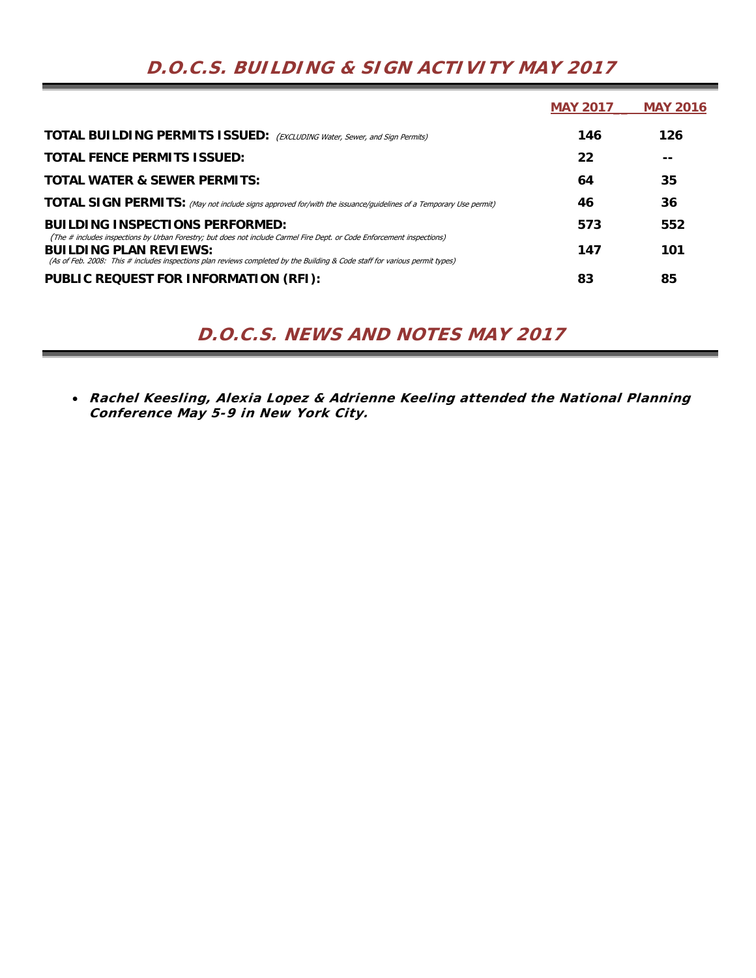|                                                                                                                                                                                                                                                                                        | <b>MAY 2017</b> | <b>MAY 2016</b> |
|----------------------------------------------------------------------------------------------------------------------------------------------------------------------------------------------------------------------------------------------------------------------------------------|-----------------|-----------------|
| <b>TOTAL BUILDING PERMITS ISSUED:</b> (EXCLUDING Water, Sewer, and Sign Permits)                                                                                                                                                                                                       | 146             | 126             |
| <b>TOTAL FENCE PERMITS ISSUED:</b>                                                                                                                                                                                                                                                     | 22              |                 |
| <b>TOTAL WATER &amp; SEWER PERMITS:</b>                                                                                                                                                                                                                                                | 64              | 35              |
| <b>TOTAL SIGN PERMITS:</b> (May not include signs approved for/with the issuance/guidelines of a Temporary Use permit)                                                                                                                                                                 | 46              | 36              |
| <b>BUILDING INSPECTIONS PERFORMED:</b>                                                                                                                                                                                                                                                 | 573             | 552             |
| (The # includes inspections by Urban Forestry; but does not include Carmel Fire Dept. or Code Enforcement inspections)<br><b>BUILDING PLAN REVIEWS:</b><br>(As of Feb. 2008: This # includes inspections plan reviews completed by the Building & Code staff for various permit types) | 147             | 101             |
| PUBLIC REQUEST FOR INFORMATION (RFI):                                                                                                                                                                                                                                                  | 83              | 85              |

# **D.O.C.S. BUILDING & SIGN ACTIVITY MAY 2017**

# **D.O.C.S. NEWS AND NOTES MAY 2017**

 **Rachel Keesling, Alexia Lopez & Adrienne Keeling attended the National Planning Conference May 5-9 in New York City.**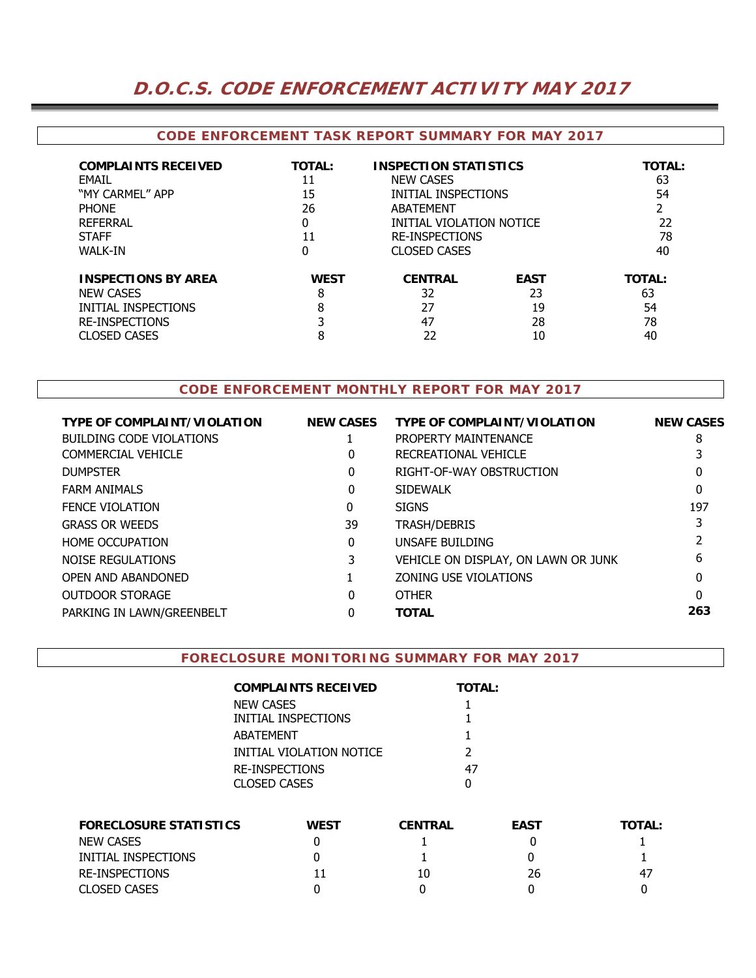# **D.O.C.S. CODE ENFORCEMENT ACTIVITY MAY 2017**

## **CODE ENFORCEMENT TASK REPORT SUMMARY FOR MAY 2017**

| <b>COMPLAINTS RECEIVED</b><br>FMAIL<br>"MY CARMEL" APP<br><b>PHONE</b><br>REFERRAL<br><b>STAFF</b><br><b>WALK-IN</b>  | <b>TOTAL:</b><br>11<br>15<br>26<br>0<br>11<br>0 | <b>INSPECTION STATISTICS</b><br><b>NEW CASES</b><br>INITIAL INSPECTIONS<br>ABATFMFNT<br>INITIAL VIOLATION NOTICE<br><b>RE-INSPECTIONS</b><br><b>CLOSED CASES</b> |                                     | <b>TOTAL:</b><br>63<br>54<br>22<br>78<br>40 |
|-----------------------------------------------------------------------------------------------------------------------|-------------------------------------------------|------------------------------------------------------------------------------------------------------------------------------------------------------------------|-------------------------------------|---------------------------------------------|
| <b>INSPECTIONS BY AREA</b><br><b>NEW CASES</b><br>INITIAL INSPECTIONS<br><b>RE-INSPECTIONS</b><br><b>CLOSED CASES</b> | <b>WEST</b><br>8<br>8<br>8                      | <b>CENTRAL</b><br>32<br>27<br>47<br>22                                                                                                                           | <b>EAST</b><br>23<br>19<br>28<br>10 | <b>TOTAL:</b><br>63<br>54<br>78<br>40       |

# **CODE ENFORCEMENT MONTHLY REPORT FOR MAY 2017**

| <b>TYPE OF COMPLAINT/VIOLATION</b> | <b>NEW CASES</b> | <b>TYPE OF COMPLAINT/VIOLATION</b>  | <b>NEW CASES</b> |
|------------------------------------|------------------|-------------------------------------|------------------|
| BUILDING CODE VIOLATIONS           |                  | PROPERTY MAINTENANCE                | 8                |
| COMMERCIAL VEHICLE                 | 0                | RECREATIONAL VEHICLE                |                  |
| <b>DUMPSTER</b>                    | 0                | RIGHT-OF-WAY OBSTRUCTION            | 0                |
| <b>FARM ANIMALS</b>                | 0                | <b>SIDEWALK</b>                     | 0                |
| <b>FENCE VIOLATION</b>             | 0                | <b>SIGNS</b>                        | 197              |
| <b>GRASS OR WEEDS</b>              | 39               | <b>TRASH/DEBRIS</b>                 |                  |
| <b>HOME OCCUPATION</b>             | 0                | UNSAFE BUILDING                     |                  |
| NOISE REGULATIONS                  |                  | VEHICLE ON DISPLAY, ON LAWN OR JUNK | 6                |
| OPEN AND ABANDONED                 |                  | ZONING USE VIOLATIONS               | O                |
| <b>OUTDOOR STORAGE</b>             | 0                | <b>OTHER</b>                        | 0                |
| PARKING IN LAWN/GREENBELT          |                  | <b>TOTAL</b>                        | 263              |
|                                    |                  |                                     |                  |

#### **FORECLOSURE MONITORING SUMMARY FOR MAY 2017**

| COMPLAINTS RECEIVED      | <b>TOTAL:</b> |
|--------------------------|---------------|
| NEW CASES                |               |
| INITIAL INSPECTIONS      |               |
| ABATEMENT                |               |
| INITIAL VIOLATION NOTICE | $\mathcal{P}$ |
| RE-INSPECTIONS           | 47            |
| CLOSED CASES             |               |

| <b>FORECLOSURE STATISTICS</b> | <b>WEST</b> | <b>CENTRAL</b> | <b>EAST</b> | <b>TOTAL:</b> |
|-------------------------------|-------------|----------------|-------------|---------------|
| <b>NEW CASES</b>              |             |                |             |               |
| INITIAL INSPECTIONS           |             |                |             |               |
| RE-INSPECTIONS                |             | 10             | 26          | -47           |
| <b>CLOSED CASES</b>           |             |                |             |               |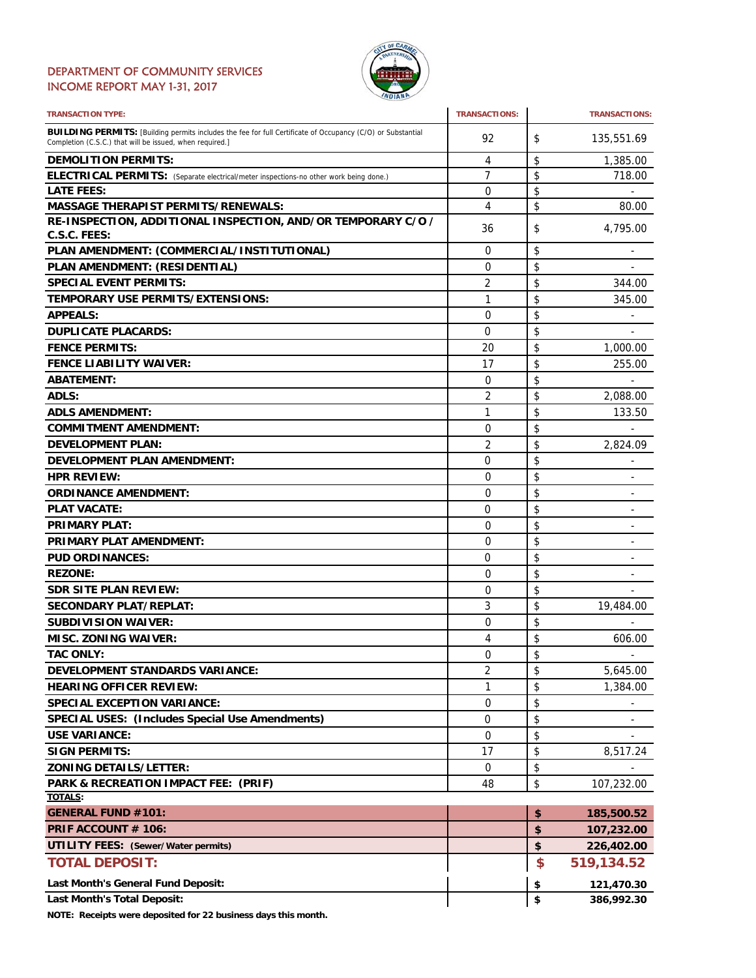### DEPARTMENT OF COMMUNITY SERVICES INCOME REPORT MAY 1-31, 2017



| <b>TRANSACTION TYPE:</b>                                                                                                                                                       | <b>TRANSACTIONS:</b> | <b>TRANSACTIONS:</b>               |
|--------------------------------------------------------------------------------------------------------------------------------------------------------------------------------|----------------------|------------------------------------|
| <b>BUILDING PERMITS:</b> [Building permits includes the fee for full Certificate of Occupancy (C/O) or Substantial<br>Completion (C.S.C.) that will be issued, when required.] | 92                   | \$<br>135,551.69                   |
| <b>DEMOLITION PERMITS:</b>                                                                                                                                                     | 4                    | \$<br>1,385.00                     |
| ELECTRICAL PERMITS: (Separate electrical/meter inspections-no other work being done.)                                                                                          | 7                    | \$<br>718.00                       |
| <b>LATE FEES:</b>                                                                                                                                                              | 0                    | \$                                 |
| <b>MASSAGE THERAPIST PERMITS/RENEWALS:</b>                                                                                                                                     | 4                    | \$<br>80.00                        |
| RE-INSPECTION, ADDITIONAL INSPECTION, AND/OR TEMPORARY C/O /<br>C.S.C. FEES:                                                                                                   | 36                   | \$<br>4,795.00                     |
| PLAN AMENDMENT: (COMMERCIAL/INSTITUTIONAL)                                                                                                                                     | 0                    | \$                                 |
| PLAN AMENDMENT: (RESIDENTIAL)                                                                                                                                                  | 0                    | \$                                 |
| <b>SPECIAL EVENT PERMITS:</b>                                                                                                                                                  | 2                    | \$<br>344.00                       |
| TEMPORARY USE PERMITS/EXTENSIONS:                                                                                                                                              | 1                    | \$<br>345.00                       |
| <b>APPEALS:</b>                                                                                                                                                                | 0                    | \$                                 |
| <b>DUPLICATE PLACARDS:</b>                                                                                                                                                     | 0                    | \$<br>$\qquad \qquad \blacksquare$ |
| <b>FENCE PERMITS:</b>                                                                                                                                                          | 20                   | \$<br>1,000.00                     |
| <b>FENCE LIABILITY WAIVER:</b>                                                                                                                                                 | 17                   | \$<br>255.00                       |
| <b>ABATEMENT:</b>                                                                                                                                                              | 0                    | \$                                 |
| <b>ADLS:</b>                                                                                                                                                                   | $\overline{2}$       | \$<br>2,088.00                     |
| <b>ADLS AMENDMENT:</b>                                                                                                                                                         | 1                    | \$<br>133.50                       |
| <b>COMMITMENT AMENDMENT:</b>                                                                                                                                                   | 0                    | \$                                 |
| <b>DEVELOPMENT PLAN:</b>                                                                                                                                                       | 2                    | \$<br>2,824.09                     |
| <b>DEVELOPMENT PLAN AMENDMENT:</b>                                                                                                                                             | 0                    | \$<br>$\qquad \qquad \blacksquare$ |
| <b>HPR REVIEW:</b>                                                                                                                                                             | 0                    | \$<br>$\overline{a}$               |
| <b>ORDINANCE AMENDMENT:</b>                                                                                                                                                    | 0                    | \$<br>-                            |
| <b>PLAT VACATE:</b>                                                                                                                                                            | 0                    | \$<br>-                            |
| <b>PRIMARY PLAT:</b>                                                                                                                                                           | 0                    | \$                                 |
| <b>PRIMARY PLAT AMENDMENT:</b>                                                                                                                                                 | $\Omega$             | \$                                 |
| <b>PUD ORDINANCES:</b>                                                                                                                                                         | 0                    | \$<br>$\qquad \qquad \blacksquare$ |
| <b>REZONE:</b>                                                                                                                                                                 | 0                    | \$<br>÷,                           |
| <b>SDR SITE PLAN REVIEW:</b>                                                                                                                                                   | 0                    | \$                                 |
| <b>SECONDARY PLAT/REPLAT:</b>                                                                                                                                                  | 3                    | \$<br>19,484.00                    |
| <b>SUBDIVISION WAIVER:</b>                                                                                                                                                     | $\Omega$             | \$                                 |
| <b>MISC. ZONING WAIVER:</b>                                                                                                                                                    | 4                    | \$<br>606.00                       |
| <b>TAC ONLY:</b>                                                                                                                                                               | $\Omega$             | \$<br>$\sim$                       |
| DEVELOPMENT STANDARDS VARIANCE:                                                                                                                                                | 2                    | \$<br>5,645.00                     |
| <b>HEARING OFFICER REVIEW:</b>                                                                                                                                                 | 1                    | \$<br>1,384.00                     |
| <b>SPECIAL EXCEPTION VARIANCE:</b>                                                                                                                                             | 0                    | \$                                 |
| <b>SPECIAL USES: (Includes Special Use Amendments)</b>                                                                                                                         | 0                    | \$                                 |
| <b>USE VARIANCE:</b>                                                                                                                                                           | 0                    | \$                                 |
| <b>SIGN PERMITS:</b>                                                                                                                                                           | 17                   | \$<br>8,517.24                     |
| <b>ZONING DETAILS/LETTER:</b>                                                                                                                                                  |                      |                                    |
|                                                                                                                                                                                | 0                    | \$                                 |
| PARK & RECREATION IMPACT FEE: (PRIF)<br><b>TOTALS:</b>                                                                                                                         | 48                   | \$<br>107,232.00                   |
| <b>GENERAL FUND #101:</b>                                                                                                                                                      |                      | \$<br>185,500.52                   |
| PRIF ACCOUNT # 106:                                                                                                                                                            |                      | \$<br>107,232.00                   |
| <b>UTILITY FEES: (Sewer/Water permits)</b>                                                                                                                                     |                      | \$<br>226,402.00                   |
| <b>TOTAL DEPOSIT:</b>                                                                                                                                                          |                      | \$<br>519,134.52                   |
|                                                                                                                                                                                |                      |                                    |
| Last Month's General Fund Deposit:                                                                                                                                             |                      | \$<br>121,470.30                   |
| <b>Last Month's Total Deposit:</b>                                                                                                                                             |                      | \$<br>386,992.30                   |

**NOTE: Receipts were deposited for 22 business days this month.**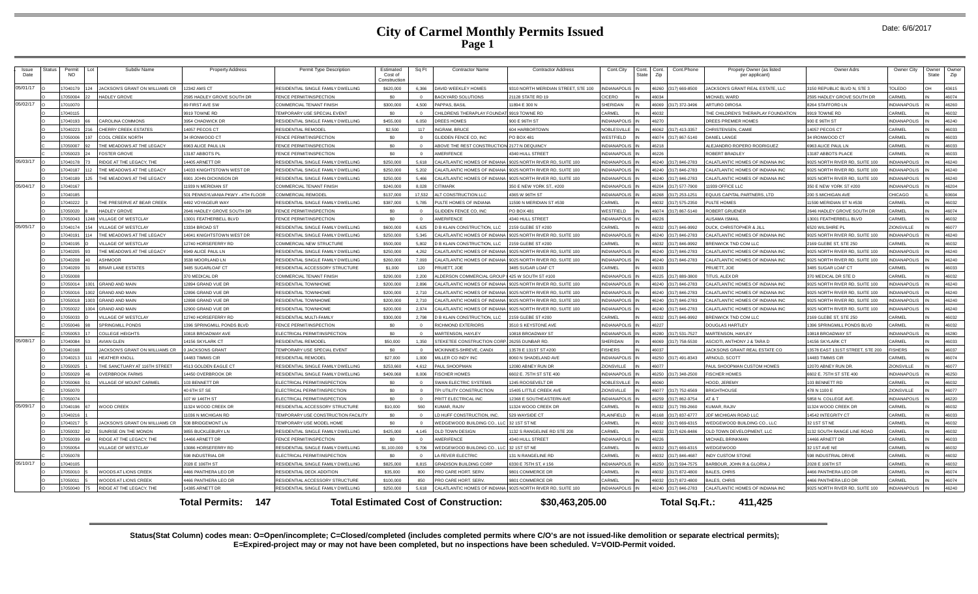## **City of Carmel Monthly Permits Issued Page 1**

| <i><b>Issue</b></i><br>Date | itatus                                                                                                                   | Permit<br><b>NO</b> | Subdiv Name                    | <b>Property Address</b>          | Permit Type Description             | Estimated<br>Cost of<br>Construction | Sq Ft      | <b>Contractor Name</b>                       | <b>Contractor Address</b>           | Cont.City           | Cont.<br>State | Cont.<br>Zip | Cont.Phone           | Propety Owner (as listed<br>per applicant) | Owner Adrs                       | Owner City          | )wner<br>State | Owner<br>Zip |
|-----------------------------|--------------------------------------------------------------------------------------------------------------------------|---------------------|--------------------------------|----------------------------------|-------------------------------------|--------------------------------------|------------|----------------------------------------------|-------------------------------------|---------------------|----------------|--------------|----------------------|--------------------------------------------|----------------------------------|---------------------|----------------|--------------|
| 05/01/17                    |                                                                                                                          | 7040179<br>124      | JACKSON'S GRANT ON WILLIAMS CR | 12342 AMS CT                     | RESIDENTIAL SINGLE FAMILY DWELLING  | \$620,000                            | 6.366      | DAVID WEEKLEY HOMES                          | 9310 NORTH MERIDIAN STREET, STE 100 | <b>INDIANAPOLIS</b> |                |              | 46260 (317) 669-8500 | JACKSON'S GRANT REAL ESTATE. LLC           | 3150 REPUBLIC BLVD N STE 3       | TOLEDO              |                | 43615        |
|                             |                                                                                                                          | 050004              | <b>HADLEY GROVE</b>            | 595 HADLEY GROVE SOUTH DR        | <b>ENCE PERMIT/INSPECTION</b>       | \$0                                  |            | <b>BACKYARD SOLUTIONS</b>                    | 1128 STATE RD 19                    | <b>ICERO</b>        |                |              |                      | <b>MICHAEL WARD</b>                        | 595 HADLEY GROVE SOUTH DR        | CARMEL              |                | 46074        |
| 05/02/17                    |                                                                                                                          | 7010070             |                                | 89 FIRST AVE SW                  | COMMERCIAL TENANT FINISH            | \$300,000                            | 4.500      | <b>PAPPAS RASIL</b>                          | 1894 E 300 N                        | SHERIDAN            |                |              | 46069 (317) 372-3496 | ARTURO DIROSA                              | 8264 STAFFORD LN                 | INDIANAPOLIS        |                | 46260        |
|                             |                                                                                                                          | 7040115             |                                | 9919 TOWNE RD                    | TEMPORARY USE SPECIAL EVENT         | \$0                                  | $\Omega$   | CHILDRENS THERAPLAY FOUNDATI 9919 TOWNE RD   |                                     | CARMEL              |                | 6032         |                      | THE CHILDREN'S THERAPLAY FOUNDATION        | 9919 TOWNE RD                    | CARMEL              |                | 46032        |
|                             |                                                                                                                          | 7040193<br>66       | CAROLINA COMMONS               | 3954 CHADWICK DR                 | RESIDENTIAL SINGLE FAMILY DWELLING  | \$455,000                            | 6.050      | DREES HOMES                                  | T2 HTaP 3 00P                       | <b>NDIANAPOLIS</b>  |                | 6270         |                      | DREES PREMIER HOMES                        | 900 E 96TH ST                    | INDIANAPOLIS        |                | 46240        |
|                             |                                                                                                                          | 7040223             | <b>CHERRY CREEK ESTATES</b>    | 4057 PECOS CT                    | RESIDENTIAL REMODEL                 | \$2.500                              | 117        | <b>NGRAM, BRUCE</b>                          | 604 HARBORTOWN                      | <b>JOBLESVILLI</b>  |                |              | 6062 (317) 413-3357  | CHRISTENSEN, CAMIE                         | 4057 PECOS CT                    | CARMEI              |                | 46033        |
|                             |                                                                                                                          | 7050006             | <b>COOL CREEK NORTH</b>        | 34 IRONWOOD CT                   | FENCE PERMIT/INSPECTION             | \$0                                  | $\sqrt{2}$ | LIDDEN FENCE CO. INC                         | <b>PO BOX 481</b>                   | <b>NESTFIELD</b>    |                |              | 46074 (317) 867-5140 | DANIEL LANGE                               | 34 IRONWOOD CT                   | CARMEI              |                | 46033        |
|                             |                                                                                                                          | 7050007             | THE MEADOWS AT THE LEGACY      | 6963 ALICE PAUL LN               | FENCE PERMIT/INSPECTION             | \$0                                  |            | ABOVE THE REST CONSTRUCTION 2177 N DEQUINCY  |                                     | <b>NDIANAPOLIS</b>  |                | 46218        |                      | <b>LEJANDRO ROPERO RODRIGUEZ</b>           | 6963 ALICE PAUL LN               | CARMEL              |                | 46033        |
|                             |                                                                                                                          | 7050023<br>24       | <b>FOSTER GROVE</b>            | 3187 ABBOTS PL                   | FENCE PERMIT/INSPECTION             | \$0                                  | $\sim$     | <b>MERIFENCE</b>                             | 4340 HULL STREET                    | NDIANAPOLIS         |                | <b>ACCA</b>  |                      | ROBERT BRADLEY                             | 13187 ABBOTS PLACE               | CARMEL              |                | 46033        |
| 05/03/17                    |                                                                                                                          | 040178              | RIDGE AT THE LEGACY. THE       | 4405 ARNETT DR                   | RESIDENTIAL SINGLE FAMILY DWELLING  | \$250,000                            | 5.618      | ALATLANTIC HOMES OF INDIANA                  | 025 NORTH RIVER RD, SUITE 100       | NDIANAPOLIS         |                |              | 6240 (317) 846-2783  | CALATLANTIC HOMES OF INDIANA INC           | 9025 NORTH RIVER RD. SUITE 100   | <b>NDIANAPOLIS</b>  |                | 46240        |
|                             |                                                                                                                          | 7040187             | THE MEADOWS AT THE LEGACY      | 4033 KNIGHTSTOWN WEST DR         | RESIDENTIAL SINGLE FAMILY DWELLING  | \$250,000                            | 5.202      | ALATI ANTIC HOMES OF INDIAN                  | 125 NORTH RIVER RD SUITE 100        | NDIANAPOLIS         |                |              | 46240 (317) 846-2783 | CALATI ANTIC HOMES OF INDIANA INC          | 0025 NORTH RIVER RD SHITE 100    | INDIANAPOLIS        |                | 46240        |
|                             |                                                                                                                          | 7040189             | THE MEADOWS AT THE LEGACY      | <b>3901 JOHN DICKINSON DR</b>    | RESIDENTIAL SINGLE FAMILY DWELLING  | \$250,000                            | 5.466      | ALATLANTIC HOMES OF INDIANA                  | 025 NORTH RIVER RD, SUITE 100       | <b>NDIANAPOLIS</b>  |                | 46240        | (317) 846-2783       | CALATLANTIC HOMES OF INDIANA INC           | 9025 NORTH RIVER RD, SUITE 100   | <b>INDIANAPOLIS</b> |                | 46240        |
| 05/04/17                    |                                                                                                                          | 7040167             |                                | 1939 N MERIDIAN ST               | COMMERCIAL TENANT FINISH            | \$240,000                            | 8,028      | <b>TIMARK</b>                                | 350 E NEW YORK ST., #200            | NDIANAPOLIS         |                |              | 6204 (317) 577-7900  | 1939 OFFICE LLC                            | 350 E NEW YORK ST #200           | <b>INDIANAPOLIS</b> |                | 46204        |
|                             |                                                                                                                          | 7040185             |                                | 01 PENNSYLVANIA PKWY - 4TH FLOOR | COMMERCIAL REMODE                   | \$137,000                            | 17.532     | <b>ILT CONSTRUCTION LLC</b>                  | 4365 W 96TH ST                      | NDIANAPOLIS         |                | 6268         | (317) 253-1251       | <b>EQUUS CAPITAL PARTNERS, LTD</b>         | 200 S MICHIGAN AVE               | CHICAGO             |                | 60604        |
|                             |                                                                                                                          | 7040222             | THE PRESERVE AT BEAR CREEK     | 4492 VOYAGEUR WAY                | RESIDENTIAL SINGLE FAMILY DWELLING  | \$387,000                            | 5.785      | <b>PULTE HOMES OF INDIANA</b>                | 1590 N MERIDIAN ST #530             | CARMEL              |                |              | 46032 (317) 575-2350 | PULTE HOMES                                | 1590 MERIDIAN ST N #530          | CARMEL              |                | 46032        |
|                             |                                                                                                                          | 7050020             | <b>HADLEY GROVE</b>            | 646 HADLEY GROVE SOUTH DR        | FENCE PERMIT/INSPECTION             | \$0                                  |            | LIDDEN FENCE CO. INC                         | PO BOX 481                          | VESTFIELD           |                |              | 46074 (317) 867-5140 | <b>ROBERT GRUENER</b>                      | 2646 HADLEY GROVE SOUTH DR       | CARMEL              |                | 46074        |
|                             |                                                                                                                          | 050043              | 1248 VILLAGE OF WESTCLAY       | 3001 FEATHERBELL BLVD            | FENCE PERMIT/INSPECTION             | \$0                                  | $\sim$     | <b>MERIFENCE</b>                             | 4340 HULL STREET                    | NDIANAPOLIS         |                |              |                      | USAMA ISMAIL                               | 13001 FEATHERBELL BLVD           | CARMEL              |                | 46032        |
| 05/05/17                    |                                                                                                                          | 040174              | <b>VILLAGE OF WESTCLAY</b>     | 3334 BROAD ST                    | RESIDENTIAL SINGLE FAMILY DWELLING  | \$600,000                            | 6.625      | <b>B KLAIN CONSTRUCTION, LLC</b>             | 2159 GLEBE ST #200                  | <b>ARMEL</b>        |                |              | (317) 846-9992       | DUCK, CHRISTOPHER & JILL                   | 520 WILSHIRF P                   | ZIONSVILLE          |                | 46077        |
|                             |                                                                                                                          | 040191              | THE MEADOWS AT THE LEGACY      | 4041 KNIGHTSTOWN WEST DR         | RESIDENTIAL SINGLE FAMILY DWELLING  | \$250,000                            | 5.345      | ALATLANTIC HOMES OF INDIANA                  | 025 NORTH RIVER RD, SUITE 100       | <b>NDIANAPOLIS</b>  |                |              | 46240 (317) 846-2783 | CALATLANTIC HOMES OF INDIANA INC           | 9025 NORTH RIVER RD, SUITE 100   | <b>INDIANAPOLIS</b> |                | 46240        |
|                             |                                                                                                                          | 7040195             | VILLAGE OF WESTCLAY            | 12740 HORSEFERRY RD              | COMMERCIAL NEW STRUCTURE            | \$500,000                            | 5.802      | D B KLAIN CONSTRUCTION. LLC                  | 159 GLEBE ST #200                   | CARMEL              |                |              | 46032 (317) 846-9992 | BRENWICK TND COM LLC                       | 169 GLEBE ST. STE 250            | CARMEL              |                | 46032        |
|                             |                                                                                                                          | 7040205             | THE MEADOWS AT THE LEGACY      | 949 ALICE PAUL IN                | RESIDENTIAL SINGLE FAMILY DWELLING  | \$250,000                            | 4.262      | ALATI ANTIC HOMES OF INDIANA                 | 025 NORTH RIVER RD. SUITE 100       | NDIANAPOLIS         |                |              | 6240 (317) 846-2783  | ALATI ANTIC HOMES OF INDIANA INC           | 025 NORTH RIVER RD. SUITE 100    | <b>INDIANAPOLIS</b> |                | 46240        |
|                             |                                                                                                                          | 7040208             | ASHMOOR                        | 3538 MOORLAND LN                 | RESIDENTIAL SINGLE FAMILY DWELLING  | \$260,000                            | 7.093      | ALATLANTIC HOMES OF INDIANA                  | 025 NORTH RIVER RD. SUITE 100       | NDIANAPOLI          |                |              | 46240 (317) 846-2783 | CALATLANTIC HOMES OF INDIANA INC           | 9025 NORTH RIVER RD. SUITE 100   | <b>INDIANAPOLIS</b> |                | 46240        |
|                             |                                                                                                                          | 7040209             | <b>BRIAR LANE ESTATES</b>      | <b>3485 SUGARLOAF CT</b>         | RESIDENTIAL ACCESSORY STRUCTURE     | \$1,000                              | 120        | RUIETT, JOE                                  | 3485 SUGAR LOAF CT                  | <b>ARMEL</b>        |                | <b>CEOBI</b> |                      | PRUIETT, JOE                               | 3485 SUGAR LOAF CT               | CARMEL              |                | 46033        |
|                             |                                                                                                                          | 7050008             |                                | 370 MEDICAL DR                   | COMMERCIAL TENANT FINISH            | \$290,000                            | 2,200      | LDERSON COMMERCIAL GROUP                     | 425 W SOUTH ST #100                 | NDIANAPOLIS         |                |              | 46225 (317) 889-3800 | TITUS, ALEX DR                             | 370 MEDICAL DR STE D             | <b>CARMEL</b>       |                | 46032        |
|                             |                                                                                                                          | 7050014             | <b>GRAND AND MAIN</b>          | 2894 GRAND VUE DR                | RESIDENTIAL TOWNHOME                | \$200,000                            | 2.896      | ALATLANTIC HOMES OF INDIANA                  | 025 NORTH RIVER RD, SUITE 100       | NDIANAPOLIS         |                |              | 6240 (317) 846-2783  | CALATLANTIC HOMES OF INDIANA INC           | 025 NORTH RIVER RD, SUITE 100    | <b>INDIANAPOLIS</b> |                | 46240        |
|                             |                                                                                                                          | 050016              | <b>GRAND AND MAIN</b>          | 2896 GRAND VUE DE                | RESIDENTIAI TOWNHOME                | \$200,000                            | 2.710      | ALATI ANTIC HOMES OF INDIAN                  | 025 NORTH RIVER RD. SUITE 100       | NDIANAPOLIS         |                | <b>G240</b>  | (317) 846-2783       | CALATI ANTIC HOMES OF INDIANA INC          | 9025 NORTH RIVER RD. SUITE 100   | <b>INDIANAPOLIS</b> |                | 46240        |
|                             |                                                                                                                          | 7050018             | <b>GRAND AND MAIN</b>          | 2898 GRAND VUE DR                | RESIDENTIAL TOWNHOME                | \$200,000                            | 2.710      | CALATLANTIC HOMES OF INDIANA                 | 125 NORTH RIVER RD. SUITE 100       | NDIANAPOLIS         |                |              | 46240 (317) 846-2783 | CALATLANTIC HOMES OF INDIANA INC           | 9025 NORTH RIVER RD. SUITE 100   | NDIANAPOLIS         |                | 46240        |
|                             |                                                                                                                          | 7050022             | GRAND AND MAIN                 | 2900 GRAND VUE DR                | RESIDENTIAL TOWNHOME                | \$200,000                            | 2974       | CALATLANTIC HOMES OF INDIANA                 | 9025 NORTH RIVER RD, SUITE 100      | <b>NDIANAPOLIS</b>  |                |              | 6240 (317) 846-2783  | CALATLANTIC HOMES OF INDIANA INC           | 9025 NORTH RIVER RD SUITE 100    | <b>INDIANAPOLIS</b> |                | 46240        |
|                             |                                                                                                                          | 7050033             | <b>VILLAGE OF WESTCLAY</b>     | 2740 HORSEFERRY RD               | <b>RESIDENTIAL MULTI-FAMILY</b>     | \$300,000                            | 2,798      | <b>B KLAIN CONSTRUCTION, LLC</b>             | 159 GLEBE ST #200                   | <b>ARMEL</b>        |                | 6032         | (317) 846-9992       | BRENWICK TND COM LLC                       | 169 GLEBE ST, STE 250            | <b>CARMEL</b>       |                | 46032        |
|                             |                                                                                                                          | 7050046             | SPRINGMILL PONDS               | 396 SPRINGMILL PONDS BLVD        | FENCE PERMIT/INSPECTION             | <b>SO</b>                            |            | <b>NCHMOND EXTERIORS</b>                     | <b>8510 S KEYSTONE AV</b>           | <b>IORANDIN</b>     |                | 6227         |                      | DOUGLAS HARTLEY                            | 1396 SPRINGMILL PONDS BLVD       | CARMEL              |                | 46032        |
|                             |                                                                                                                          | 7050053             | <b>COLLEGE HEIGHTS</b>         | 0818 BROADWAY AVE                | ELECTRICAL PERMIT/INSPECTION        | \$0                                  | $\Omega$   | MARTENSON, HAYLEY                            | 10818 BROADWAY ST                   | <b>NDIANAPOLIS</b>  |                |              | 46280 (317) 531-7527 | MARTENSON, HAYLEY                          | 10818 BROADWAY ST                | <b>INDIANAPOLIS</b> |                | 46280        |
| 05/08/17                    |                                                                                                                          | 7040084             | <b>AVIAN GLEN</b>              | 4156 SKYLARK CT                  | RESIDENTIAL REMODEL                 | \$50,000                             | 1.350      | STEKETEE CONSTRUCTION CORP. 26255 DUNBAR RD. |                                     | HERIDAN             |                |              | 46069 (317) 758-5530 | ASCIOTI, ANTHONY J & TARA D                | 14156 SKYLARK CT                 | ARMEL               |                | 46033        |
|                             |                                                                                                                          | 040168              | JACKSON'S GRANT ON WILLIAMS CR | <b>JACKSONS GRANT</b>            | TEMPORARY USE SPECIAL EVENT         | \$0                                  | $\Omega$   | <b><i>ICKINNIES-SHREVE, CANDI</i></b>        | 13578 E 131ST ST #200               | <b>ISHERS</b>       |                | 6037         |                      | ACKSONS GRANT REAL ESTATE CO               | 13578 EAST 131ST STREET, STE 200 | <b>FISHERS</b>      |                | 46037        |
|                             |                                                                                                                          | 7040213             | HEATHER KNOLL                  | 4483 TIMMIS CIR                  | RESIDENTIAL REMODEL                 | \$27,000                             | 1.000      | <b>MILLER CO INDY INC</b>                    | 8060 N SHADELAND AVE                | NDIANAPOLIS         |                |              | 46250 (317) 491-8343 | ARNOLD, SCOTT                              | 14483 TIMMIS CIR                 | CARMEL              |                | 46074        |
|                             |                                                                                                                          | 7050025             | THE SANCTUARY AT 116TH STREET  | <b>4513 GOLDEN EAGLE CT</b>      | RESIDENTIAL SINGLE FAMILY DWELLING  | \$253,660                            | 4.612      | AUL SHOOPMAN                                 | 2080 ABNEY RUN DR                   | <b>IONSVILLE</b>    |                | 6077         |                      | PAUL SHOOPMAN CUSTOM HOMES                 | 12070 ABNEY RUN DR               | ZIONSVILLE          |                | 46077        |
|                             |                                                                                                                          | 7050029             | <b>OVERBROOK FARMS</b>         | 4450 OVERRROOK DR                | RESIDENTIAL SINGLE FAMILY DWELLING  | \$409,068                            | 800.8      | <b>ISCHER HOMES</b>                          | 6602 E. 75TH ST STE 400             | NDIANAPOLIS         |                |              | 6250 (317) 348-2500  | <b>FISCHER HOMES</b>                       | 6602 F. 75TH ST STF 400          | INDIANAPOLIS        |                | 46250        |
|                             |                                                                                                                          | 050068              | <b>ILLAGE OF MOUNT CARMEL</b>  | 03 BENNETT DR                    | <b>I ECTRICAL PERMIT/INSPECTION</b> | \$0                                  |            | WAN ELECTRIC SYSTEMS                         | 1245 ROOSEVELT DR                   | <b>IOBLESVILLI</b>  |                |              |                      | <b>OOD, JEREMY</b>                         | 03 BENNETT RD                    | <b>ARMEL</b>        |                | 46032        |
|                             |                                                                                                                          | 7050070             |                                | 40 6TH ST SE                     | ELECTRICAL PERMIT/INSPECTION        | so.                                  |            | PI UTILITY CONSTRUCTION                      | 5405 LITTLE CREEK AVE               | <b>IONSVILLE</b>    |                |              | 46077 (317) 752-6569 | <b>BRIGHTHOUSE</b>                         | 478 N 1100 E                     | ZIONSVILLE          |                | 46077        |
|                             |                                                                                                                          | 7050074             |                                | 107 W 146TH ST                   | ELECTRICAL PERMIT/INSPECTION        | \$0                                  | $\Omega$   | PRITT ELECTRICAL INC                         | <b>12368 E SOUTHEASTERN AVE</b>     | NDIANAPOLIS         |                |              | 6259 (317) 862-9754  | AT&T                                       | 5858 N. COLLEGE AVE              | <b>INDIANAPOLIS</b> |                | 46220        |
| 05/09/17                    |                                                                                                                          | 040196              | <b>WOOD CREEK</b>              | 1324 WOOD CREEK DR               | RESIDENTIAL ACCESSORY STRUCTURE     | \$10,000                             | 560        | <b>IIMAR RAJIV</b>                           | 11324 WOOD CREEK DR                 | ARMEL               |                |              | 6032 (317) 789-2660  | <b>ILMAR RAIN</b>                          | 1324 WOOD CREEK DF               | <b>ARMEL</b>        |                | 46032        |
|                             |                                                                                                                          | 7040216             |                                | 1036 N MICHIGAN RD               | TEMPORARY USE CONSTRUCTION FACILITY | \$0                                  |            | D HUFF CONSTRUCTION, INC.                    | 529 WAYSIDE CT                      | PLAINFIELD          |                | 6168         | (317) 837-6777       | JDF MICHIGAN ROAD LLC                      | 14542 INTEGRITY CT               | CARMEL              |                | 46033        |
|                             |                                                                                                                          | 7040217             | JACKSON'S GRANT ON WILLIAMS CR | <b>GOR BRIDGEMONT LN</b>         | TEMPORARY USE MODEL HOME            | \$0                                  | $\sqrt{2}$ | VEDGEWOOD BUILDING CO. LL                    | 32 1ST ST NF                        | <b>ARMEL</b>        |                |              | 6032 (317) 669-6315  | <b><i>NEDGEWOOD BUILDING CO., LLC</i></b>  | 32 1 ST ST NF                    | CARMEI              |                | 46032        |
|                             |                                                                                                                          | 7050032             | SUNRISE ON THE MONON           | 855 BUCKLEBURY LN                | RESIDENTIAL SINGLE FAMILY DWELLING  | \$425,000                            | 4,145      | OLD TOWN DESIGN                              | 132 S RANGELINE RD STE 200          | <b>ARMEL</b>        |                |              | 46032 (317) 626-8486 | OLD TOWN DEVELOPMENT, LLC                  | 1132 SOUTH RANGE LINE ROAD       | CARMEL              |                | 46032        |
|                             |                                                                                                                          | 7050039             | RIDGE AT THE LEGACY. THE       | 4466 ARNETT DR                   | FENCE PERMIT/INSPECTION             | sn.                                  | $\sim$     | <b>MERIFENCE</b>                             | 4340 HULL STREET                    | NDIANAPOLIS         |                | 6226         |                      | MICHAFI BRINKMAN                           | 14466 ARNETT DR                  | <b>CARMEL</b>       |                | 46033        |
|                             |                                                                                                                          | 7050054             | VILLAGE OF WESTCLAY            | 3086 HORSFFFRRY RD               | RESIDENTIAL SINGLE FAMILY DWELLING  | \$1,100,000                          | 9,706      | VEDGEWOOD BUILDING CO., LLC                  | 32 1ST ST NE                        | CARMEL              |                | 6032         | (317) 669-6315       | <b>NFDGFWOOD</b>                           | 32 1ST AVF NF                    | <b>CARMEI</b>       |                | 46032        |
|                             |                                                                                                                          | 7050078             |                                | 98 INDUSTRIAL DR                 | <b>ELECTRICAL PERMIT/INSPECTION</b> | so.                                  |            | <b>FFVER FLECTRIC</b>                        | 31 N RANGELINE RD                   | ARMEI               |                |              | 46032 (317) 846-4687 | <b>NDY CUSTOM STONE</b>                    | 598 INDUSTRIAL DRIVE             | CARMEI              |                | 46032        |
| 05/10/17                    |                                                                                                                          | 7040105             |                                | 2028 E 106TH ST                  | RESIDENTIAL SINGLE FAMILY DWELLING  | \$825,000                            | 8.815      | <b>GRADISON BUILDING CORP</b>                | 6330 E 75TH ST, # 156               | NDIANAPOLIS         |                |              | 6250 (317) 594-7575  | BARBOUR, JOHN R & GLORIA J                 | 2028 E 106TH ST                  | CARMEL              |                | 46032        |
|                             |                                                                                                                          | 7050010             | WOODS AT LIONS CREEK           | <b>1466 PANTHERA LEO DR</b>      | RESIDENTIAL DECK ADDITION           | \$35,000                             | 800        | RO CARE HORT, SERV.                          | 801 COMMERCE DR                     | CARMEL              |                |              | 6032 (317) 872-4800  | <b>BALES, CHRIS</b>                        | 4466 PANTHERA LEO DR             | CARMEL              |                | 46074        |
|                             |                                                                                                                          | 05001               | WOODS AT LIONS CREEK           | 466 PANTHERA I FO DI             | RESIDENTIAL ACCESSORY STRUCTURE     | \$100,000                            | 850        | RO CARE HORT, SERV                           | 9801 COMMERCE DR                    | CARMEL              |                | 6032         | (317) 872-4800       | <b>BALES, CHRIS</b>                        | 4466 PANTHERA I FO DI            | CARMEI              |                | 46074        |
|                             |                                                                                                                          | 7050040             | RIDGE AT THE LEGACY. THE       | 4385 ARNETT DR                   | RESIDENTIAL SINGLE FAMILY DWELLING  | \$250,000                            | 5618       | CALATLANTIC HOMES OF INDIANA                 | 9025 NORTH RIVER RD, SUITE 100      | <b>NDIANAPOLIS</b>  |                |              | 46240 (317) 846-2783 | CALATLANTIC HOMES OF INDIANA INC           | 9025 NORTH RIVER RD, SUITE 100   | <b>INDIANAPOLIS</b> |                | 46240        |
|                             | <b>Total Permits: 147</b><br><b>Total Estimated Cost of Construction:</b><br>\$30,463,205.00<br>Total Sq.Ft.:<br>411.425 |                     |                                |                                  |                                     |                                      |            |                                              |                                     |                     |                |              |                      |                                            |                                  |                     |                |              |

**Status(Stat Column) codes mean: O=Open/incomplete; C=Closed/completed (includes completed permits where C/O's are not issued-like demolition or separate electrical permits); E=Expired-project may or may not have been completed, but no inspections have been scheduled. V=VOID-Permit voided.**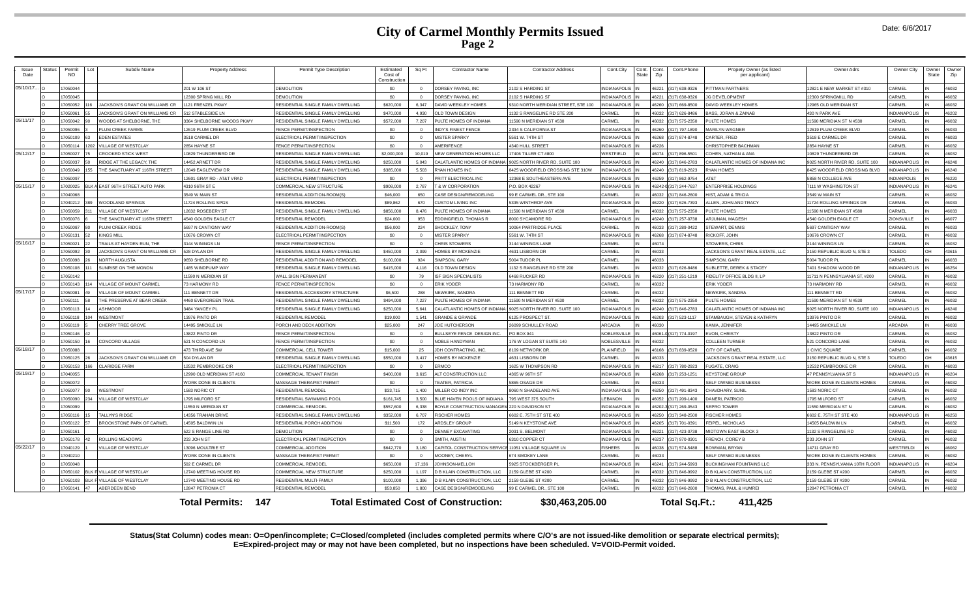## **City of Carmel Monthly Permits Issued Page 2**

| Date: 6/6/2017 |
|----------------|
|                |
|                |

| Issue<br>Date | <b>Status</b> | Permit<br>NO.      | Lot  | Subdiv Name                           | <b>Property Address</b>          | Permit Type Description                               | Estimated<br>Cost of | Sq Ft        | <b>Contractor Name</b>                               | <b>Contractor Address</b>                                    | Cont.City                     | Cont.<br>Cont.<br>Zip<br>State | Cont.Phone             |               | Propety Owner (as listed<br>per applicant)     | Owner Adrs                       | Owner City          | Owner<br>State | Owner<br>Zip   |
|---------------|---------------|--------------------|------|---------------------------------------|----------------------------------|-------------------------------------------------------|----------------------|--------------|------------------------------------------------------|--------------------------------------------------------------|-------------------------------|--------------------------------|------------------------|---------------|------------------------------------------------|----------------------------------|---------------------|----------------|----------------|
|               |               |                    |      |                                       |                                  |                                                       | Constructio          |              |                                                      |                                                              |                               |                                |                        |               |                                                |                                  |                     |                |                |
| 05/10/17.     |               | 7050044            |      |                                       | 201 W 106 ST                     | <b>DEMOLITION</b>                                     | S <sub>0</sub>       |              | DORSEY PAVING. INC                                   | 2102 S HARDING ST                                            | <b>INDIANAPOLIS</b>           | 16221                          | (317) 638-9326         |               | PITTMAN PARTNERS                               | 12821 F NFW MARKFT ST #310       | CARMEL              |                | 46032          |
|               |               | 7050045            |      |                                       | 2300 SPRING MILL RD              | <b>DEMOLITION</b>                                     | SO.                  |              | DORSEY PAVING, INC                                   | 2102 S HARDING ST                                            | NDIANAPOLIS                   | 46221                          | (317) 638-9326         |               | <b>JG DEVELOPMENT</b>                          | 12300 SPRINGMILL RD              | CARMEL              |                | 46032          |
|               |               | 7050052            |      | JACKSON'S GRANT ON WILLIAMS CR        | 121 FRENZEL PKWY                 | RESIDENTIAL SINGLE FAMILY DWELLING                    | \$620,000            | 6.347        | DAVID WEEKLEY HOMES                                  | 9310 NORTH MERIDIAN STREET, STE 100                          | <b>NDIANAPOLIS</b>            |                                | 46260 (317) 669-8500   |               | DAVID WEEKLEY HOMES                            | 12965 OLD MERIDIAN ST            | CARMEL              |                | 46032          |
|               |               | 7050061            |      | <b>IACKSON'S GRANT ON WILLIAMS CR</b> | 12 STABLESIDE LN                 | RESIDENTIAL SINGLE FAMILY DWELLING                    | \$470,000            | 4.930        | OLD TOWN DESIGN                                      | 1132 S RANGELINE RD STE 200                                  | ARMEI                         |                                | 6032 (317) 626-8486    |               | <b>BASS, JORAN &amp; ZAINAB</b>                | <b>430 N PARK AVE</b>            | <b>INDIANAPOLIS</b> |                | 46202          |
| 05/11/17      |               | 7050042            |      | WOODS AT SHELBORNE, THE               | 364 SHELBORNE WOODS PKWY         | RESIDENTIAL SINGLE FAMILY DWELLING                    | \$572,000            | 7.207        | PULTE HOMES OF INDIANA                               | 11590 N MERIDIAN ST #530                                     | CARMEL                        |                                | 46032 (317) 575-2350   |               | PULTE HOMES                                    | 1590 MERIDIAN ST N #530          | CARMEL              |                | 46032          |
|               |               | 7050096            |      | <b>PLUM CREEK FARMS</b>               | 2619 PLUM CREEK BLVD             | FENCE PERMIT/INSPECTION                               | SO.                  | $\Omega$     | <b>INDY'S FINEST FENCE</b>                           | 2334 S CALIFORNIA ST                                         | <b>NDIANAPOLIS</b>            |                                | 46260 (317) 797-1890   |               | <b>MARILYN WAGNER</b>                          | 12619 PLUM CREEK BLVD            | CARMEL              |                | 46033          |
|               |               | 7050109            | 63   | EDEN ESTATES                          | 3518 CARMEL DR                   | ELECTRICAL PERMIT/INSPECTION                          | \$0                  |              | <b>MISTER SPARKY</b>                                 | 5561 W. 74TH ST                                              | <b>NDIANAPOLIS</b>            |                                | 46268 (317) 874-8748   |               | CARTER, FRED                                   | 3518 E CARMEL DR                 | CARMEL              |                | 46033          |
|               |               | 7050114            | 1202 | <b>VILLAGE OF WESTCLAY</b>            | 2854 HAYNE ST                    | FENCE PERMIT/INSPECTION                               | \$0                  | $\Omega$     | AMERIFENCE                                           | 4340 HULL STREET                                             | <b>NDIANAPOLIS</b>            | <b>LG226</b>                   |                        |               | CHRISTOPHER BACHMAN                            | 2854 HAYNE ST                    | CARMEI              |                | 46032          |
| 05/12/17      |               | 7050027            |      | <b>CROOKED STICK WEST</b>             | 0829 THUNDERBIRD DR              | RESIDENTIAL SINGLE FAMILY DWELLING                    | \$2,000,000          | 10.019       | <b>NEW GENERATION HOMES LLC</b>                      | 17406 TILLER CT #800                                         | <b>NESTEIELD</b>              |                                | 46074 (317) 896-5501   |               | COHEN, NATHAN & ANA                            | 0829 THUNDERBIRD DR              | CARMEI              |                | 46032          |
|               |               | 7050037            |      | RIDGE AT THE LEGACY. THE              | 4452 ARNETT DR                   | RESIDENTIAL SINGLE FAMILY DWELLING                    | \$250,000            | 5.043        |                                                      | CALATLANTIC HOMES OF INDIANA 19025 NORTH RIVER RD. SUITE 100 | <b>NDIANAPOLIS</b>            |                                | 46240 (317) 846-2783   |               | CALATLANTIC HOMES OF INDIANA INC               | 9025 NORTH RIVER RD, SUITE 100   | <b>INDIANAPOLIS</b> |                | 46240          |
|               |               | 7050049            | 155  | THE SANCTUARY AT 116TH STREET         | 2049 EAGLEVIEW DR                | RESIDENTIAL SINGLE FAMILY DWELLING                    | \$385,000            | 5.503        | RYAN HOMES INC                                       | 8425 WOODFIELD CROSSING STE 310W                             | <b>NDIANAPOLIS</b>            |                                | (317) 819-2623         |               | <b>RYAN HOMES</b>                              | 8425 WOODFIELD CROSSING BLVD     | <b>INDIANAPOLIS</b> |                | 46240          |
|               |               | 7050097            |      |                                       | 2601 GRAY RD - AT&T VRAD         | FI FCTRICAL PERMIT/INSPECTION                         | -SO                  |              | PRITT ELECTRICAL INC                                 | <b>12368 E SOUTHEASTERN AVE</b>                              | <b>NDIANAPOLIS</b>            |                                | 46259 (317) 862-9754   | T&TA          |                                                | 858 N COLLEGE AVE                | <b>INDIANPOLIS</b>  |                | 46220          |
| 05/15/17      |               | 7020025            |      | EAST 96TH STREET AUTO PARK            | 1310 96TH ST F                   | COMMERCIAL NEW STRUCTURE                              | \$908,000            | 2.787        | <b>T &amp; W CORPORATION</b>                         | P.O. BOX 42267                                               | <b>NDIANAPOLIS</b>            |                                | 46242-0 (317) 244-7637 |               | <b>ENTERPRISE HOLDINGS</b>                     | 7111 W WASHINGTON ST             | <b>INDIANAPOLIS</b> |                | 46241          |
|               |               | 7040068            |      |                                       | 3549 W MAIN ST                   | RESIDENTIAL ADDITION-ROOM(S)                          | \$46,000             | 650          | CASE DESIGN/REMODELING                               | 99 E CARMEL DR., STE 100                                     | ARMEI                         |                                | 46032 (317) 846-2600   |               | HIST. ADAM & TRICIA                            | <b>3549 W MAIN ST</b>            | CARMEL              |                | 46032          |
|               |               | 17040212           | 389  | WOODLAND SPRINGS                      | 1724 ROLLING SPGS                | RESIDENTIAL REMODEL                                   | \$89,862             | 670          | CUSTOM LIVING INC                                    | 5335 WINTHROP AVE                                            | NDIANAPOLIS                   |                                | 46220 (317) 626-7393   |               | ALLEN, JOHN AND TRACY                          | 1724 ROLLING SPRINGS DR          | CARMEL              |                | 46033          |
|               |               | 7050059            | 311  | VILLAGE OF WESTCLAY                   | 2632 ROSEBERY ST                 | RESIDENTIAL SINGLE FAMILY DWELLING                    | \$856,000            | 8.476        | PULTE HOMES OF INDIANA                               | 11590 N MERIDIAN ST #530                                     | ARMEI                         |                                | (317) 575-2350         |               | PULTE HOMES                                    | 1590 N MERIDIAN ST #580          | CARMEL              |                | 46033          |
|               |               | 7050076            |      | THE SANCTUARY AT 116TH STREET         | 540 GOLDEN EAGLE CT              | RESIDENTIAL REMODEL                                   | \$24,000             | 953          | <b>EDDINGFIELD, THOMAS R</b>                         | 8000 SYCAMORE RD                                             | NDIANAPOL                     | 16240                          | (317) 257-0738         |               | ARJUNAN, MAGESH                                | 540 GOLDEN EAGLE CT              | <b>ZIONSVILLE</b>   |                | 46077          |
|               |               | 7050087            |      | PLUM CREEK RIDGE                      | 5697 N CANTIGNY WAY              | RESIDENTIAL ADDITION-ROOM(S)                          | \$56,000             | 224          | SHOCKLEY, TONY                                       | 10064 PARTRIDGE PLACE                                        | CARMEL                        |                                | 46033 (317) 289-0422   |               | STEWART, DENNIS                                | 5697 CANTIGNY WAY                | CARMEI              |                | 46033          |
|               |               | 7050131            | 52   | KINGS MILL                            | 0676 CROWN CT                    | ELECTRICAL PERMIT/INSPECTION                          | \$0                  |              | <b>MISTER SPARKY</b>                                 | 5561 W. 74TH ST                                              | <b>NDIANAPOLIS</b>            |                                | 46268 (317) 874-8748   |               | <b>RICKOFF, JOHN</b>                           | 0676 CROWN CT                    | CARMEL              |                | 46032          |
| 05/16/17      |               | 7050021            |      | TRAILS AT HAYDEN RUN. THE             | <b>3144 WININGS LN</b>           | FENCE PERMIT/INSPECTION                               | \$0                  | $\Omega$     | CHRIS STOWERS                                        | 3144 WININGS LANE                                            | CARMEL                        | 16074                          |                        |               | STOWERS, CHRIS                                 | 144 WININGS LN                   | CARMEL              |                | 46032          |
|               |               | 7050092            |      | <b>IACKSON'S GRANT ON WILLIAMS CR</b> | 528 DYLAN DR                     | RESIDENTIAL SINGLE FAMILY DWELLING                    | \$450,000            | 2.099        | HOMES BY MCKENZIE                                    | 4631 LISBORN DR                                              | CARMEL                        |                                |                        |               | JACKSON'S GRANT REAL ESTATE, LLC               | 150 REPUBLIC BLVD N. STE 3       | TOLEDO              |                | 43615          |
|               |               | 7050098            |      | NORTH AUGUSTA                         | <b>9650 SHELBORNE RD</b>         | RESIDENTIAL ADDITION AND REMODEL                      | \$100,000            | 924          | <b>SIMPSON, GARY</b>                                 | 5004 TUDOR PL                                                | CARMEL                        | <b>FFOR1</b>                   |                        |               | SIMPSON, GARY                                  | 5004 TUDOR PL                    | CARMEL              |                | 46033          |
|               |               | 7050108            |      | SUNRISE ON THE MONON                  | 485 WINDPUMP WAY                 | RESIDENTIAL SINGLE FAMILY DWELLING                    | \$415,000            | 4.116        | OLD TOWN DESIGN                                      | 1132 S RANGELINE RD STE 200                                  | CARMEL                        |                                | 46032 (317) 626-8486   |               | SUBLETTE, DEREK & STACEY                       | 7401 SHADOW WOOD DR              | <b>INDIANAPOLIS</b> |                | 46254          |
|               |               | 7050142            |      |                                       | 1590 N MERIDIAN ST               | <b>WALL SIGN PERMANENT</b>                            | \$0                  | 79           | <b>ISF SIGN SPECIALISTS</b>                          | 6468 RUCKER RD                                               | NDIANAPOLIS                   |                                | 46220 (317) 251-1219   |               | FIDELITY OFFICE BLDG II. LP                    | 1711 N PENNSYLVANIA ST. #200     | CARMEL              |                | 46032          |
|               |               | 7050143            |      | <b>ILLAGE OF MOUNT CARMEL</b>         | 3 HARMONY RD                     | FENCE PERMIT/INSPECTION                               | sn                   |              | ERIK YODER                                           | <b>3 HARMONY RD</b>                                          | ARMFI:                        |                                |                        |               | <b>FRIK YODER</b>                              | <b>3 HARMONY RD</b>              | CARMEL              |                | 46032          |
| 05/17/17      |               | 7050081            |      | <b>ILLAGE OF MOUNT CARMEL</b>         | 11 BENNETT DR                    | RESIDENTIAL ACCESSORY STRUCTURE                       | \$6,500              | 288          | NEWKIRK, SANDRA                                      | 11 BENNETT RD                                                | CARMEL                        | 16032                          |                        |               | NEWKIRK, SANDRA                                | 11 BENNETT RD                    | CARMEI              |                | 46032          |
|               |               | 17050111           |      | THE PRESERVE AT BEAR CREEK            | <b>4460 EVERGREEN TRAIL</b>      | RESIDENTIAL SINGLE FAMILY DWELLING                    | \$494,000            | 7.227        | PULTE HOMES OF INDIANA                               | 11590 N MERIDIAN ST #530                                     | <b>ARMEL</b>                  |                                | 46032 (317) 575-2350   |               | PULTE HOMES                                    | 1590 MERIDIAN ST N #530          | CARMEL              |                | 46032          |
|               |               | 7050113            | 14   | ASHMOOR                               | 3484 YANCEY PL                   | RESIDENTIAL SINGLE FAMILY DWELLING                    | \$250,000            | 5.641        |                                                      | CALATLANTIC HOMES OF INDIANA 19025 NORTH RIVER RD, SUITE 100 | <b>NDIANAPOLIS</b>            |                                | (317) 846-2783         |               | CALATLANTIC HOMES OF INDIANA INC               | 9025 NORTH RIVER RD, SUITE 100   | <b>INDIANAPOLIS</b> |                | 46240          |
|               |               | 7050118<br>7050119 |      | WESTMONT<br>CHERRY TREE GROVE         | 3976 PINTO DR<br>4495 SMICKLE LN | <b>RESIDENTIAL REMODEL</b><br>PORCH AND DECK ADDITION | \$19,000<br>\$25,000 | 1.541<br>247 | <b>GRANDE &amp; GRANDE</b><br>JOE HUTCHERSON         | 125 PROSPECT ST<br>26099 SCHULLEY ROAD                       | <b>NDIANAPOLIS</b><br>ARCADIA | 02031                          | 46203 (317) 523-1117   |               | STAMBAUGH, STEVEN & KATHRYN<br>KANIA. JENNIFER | 3976 PINTO DR<br>4495 SMICKLE LN | CARMEL<br>ARCADIA   |                | 46032<br>46030 |
|               |               | 17050146           |      |                                       | 3822 PINTO DR                    | FENCE PERMIT/INSPECTION                               | \$0                  |              | BULLSEYE FENCE DESIGN INC.                           | PO BOX 941                                                   | <b>NOBLESVILLE</b>            |                                | 46061-0 (317) 774-0197 |               | EVON, CHRISTY                                  | 13822 PINTO DR                   | CARMEL              |                | 46032          |
|               |               | 7050150            |      | CONCORD VILLAGE                       | 521 N CONCORD LN                 | FENCE PERMIT/INSPECTION                               | \$0                  |              | <b>NOBLE HANDYMAN</b>                                | 176 W LOGAN ST SUITE 140                                     | <b>NOBLESVILL</b>             |                                |                        |               | <b>COLLEEN TURNER</b>                          | 521 CONCORD LANE                 | CARMEL              |                | 46032          |
| 05/18/17      |               | 7050088            |      |                                       | 73 THIRD AVE SW                  | <b>COMMERCIAL CELL TOWER</b>                          | \$15,000             | 25           | JDH CONTRACTING, INC                                 | 8109 NETWORK DR                                              | PLAINFIELD                    |                                | 6168 (317) 839-0520    |               | CITY OF CARMEL                                 | <b>CIVIC SQUARE</b>              | CARMEL              |                | 46032          |
|               |               | 7050125            |      | JACKSON'S GRANT ON WILLIAMS CR        | 504 DYLAN DR                     | RESIDENTIAL SINGLE FAMILY DWELLING                    | \$550,000            | 3.417        | <b>HOMES BY MCKENZIE</b>                             | 4631 LISBORN DR                                              | CARMEL                        | <b>FFOR1</b>                   |                        |               | JACKSON'S GRANT REAL ESTATE, LLC               | 3150 REPUBLIC BLVD N, STE 3      | TOLEDO              | nн             | 43615          |
|               |               | 7050153            |      | <b>CLARIDGE FARM</b>                  | 2532 PEMBROOKE CIR               | ELECTRICAL PERMIT/INSPECTION                          | \$0                  | $\Omega$     | <b>RMCO</b>                                          | 1625 W THOMPSON RD                                           | NDIANAPOLIS                   |                                | 46217 (317) 780-2923   |               | <b>FUGATE, CRAIG</b>                           | 12532 PEMBROOKE CIF              | CARMEL              |                | 46033          |
| 05/19/17      |               | 7040055            |      |                                       | 2990 OLD MERIDIAN ST #160        | COMMERCIAL TENANT FINISH                              | \$400,000            | 3.615        | ALT CONSTRUCTION LLC                                 | 4365 W 96TH ST                                               | NDIANAPOLIS                   |                                | 46268 (317) 253-1251   |               | <b>KEYSTONE GROUP</b>                          | <b>7 PENNSYLVANIA ST S</b>       | INDIANAPOLIS        |                | 46204          |
|               |               | 7050072            |      |                                       | WORK DONE IN CLIENTS             | MASSAGE THERAPIST PERMIT                              | \$0                  |              | <b>TEATER, PATRICIA</b>                              | 5865 OSAGE DR                                                | <b>ARMEL</b>                  | <b>6033</b>                    |                        |               | SELF OWNED BUSINESSS                           | VORK DONE IN CLIENTS HOMES       | CARME               |                | 46032          |
|               |               | 7050077            |      | WESTMONT                              | 1583 NORIC CT                    | <b>RESIDENTIAL REMODEL</b>                            | \$33,715             | 1.400        | MILLER CO INDY INC                                   | 8060 N SHADELAND AVE                                         | NDIANAPOL                     |                                | 46250 (317) 491-8343   |               | CHAVDHARY, SUNI                                | 1583 NORIC CT                    | CARMEL              |                | 46032          |
|               |               | 7050090            |      | VILLAGE OF WESTCLAY                   | 795 MILFORD ST                   | RESIDENTIAL SWIMMING POOL                             | \$161,745            | 3.500        | BLUE HAVEN POOLS OF INDIANA                          | 795 WEST 375 SOUTH                                           | FBANON                        |                                | 46052 (317) 209-1400   |               | DANERI, PATRICIO                               | 1795 MILFORD ST                  | CARMEI              |                | 46032          |
|               |               | 7050099            |      |                                       | 1550 N MERIDIAN ST               | COMMERCIAL REMODEL                                    | \$557,600            | 6.338        | BOYLE CONSTRUCTION MANAGEM 220 N DAVIDSON ST         |                                                              | <b>NDIANAPOLIS</b>            |                                | 46202-3 (317) 269-0543 |               | SEPRO TOWER                                    | 1550 MERIDIAN ST N               | CARMEL              |                | 46032          |
|               |               | 7050116            |      | TALLYN'S RIDGE                        | 4356 TRAHAN DRIVE                | RESIDENTIAL SINGLE FAMILY DWELLING                    | \$352,000            | 6.707        | <b>ISCHER HOMES</b>                                  | 602 E. 75TH ST STE 400                                       | NDIANAPOLIS                   |                                | 6250 (317) 348-2500    |               | <b>FISCHER HOMES</b>                           | 602 E. 75TH ST STE 400           | <b>INDIANAPOLIS</b> |                | 46250          |
|               |               | 7050122            |      | <b>BROOKSTONE PARK OF CARMEL</b>      | 4505 BAI DWIN IN                 | RESIDENTIAL PORCH ADDITION                            | \$11,500             | 172          | <b>ARDSLEY GROUF</b>                                 | 5149 N KEYSTONE AVI                                          | NDIANAPOLI                    |                                | 46205 (317) 701-0391   |               | FFIPFI NICHOLAS                                | 4505 BALDWIN LM                  | CARMEL              |                | 46032          |
|               |               | 7050161            |      |                                       | 522 S RANGE LINE RD              | <b>DEMOLITION</b>                                     | S <sub>0</sub>       | $\Omega$     | <b>DENNEY EXCAVATING</b>                             | 2031 S. BELMONT                                              | <b>NDIANAPOLIS</b>            |                                | 46221 (317) 423-0738   |               | MIDTOWN EAST BLOCK 3                           | 1132 S RANGELINE RD              | CARMEL              |                | 46032          |
|               |               | 7050178            |      | ROLLING MEADOWS                       | 233 JOHN ST                      | ELECTRICAL PERMIT/INSPECTION                          | \$0                  |              | <b>SMITH, AUSTIN</b>                                 | 6310 COPPER CT                                               | <b>NDIANAPOLIS</b>            | 16237                          | (317) 970-0301         |               | FRENCH, COREY B                                | 233 JOHN ST                      | CARMEL              |                | 46032          |
| 05/22/17      |               | 7040129            |      | <b>ILLAGE OF WESTCLAY</b>             | 3096 MOULTRIE ST                 | <b>COMMERCIAL ADDITION</b>                            | \$642,770            | 3.180        | CAPITOL CONSTRUCTION SERVICE 11051 VILLAGE SQUARE LN |                                                              | <b>ISHERS</b>                 |                                | 6038 (317) 574-5488    |               | <b>BOWMAN, BRYAN</b>                           | 14711 GRAY RD                    | WESTFIELDI          |                | 46062          |
|               |               | 7040210            |      |                                       | WORK DONE IN CLIENTS             | MASSAGE THERAPIST PERMIT                              | \$0                  |              | <b>MOONEY, CHERYL</b>                                | 674 SMOKEY LANE                                              | <b>ARMEL</b>                  |                                |                        |               | SELF OWNED BUSINESSS                           | VORK DONE IN CLIENTS HOMES       | CARMEL              |                | 46032          |
|               |               | 7050048            |      |                                       | 502 E CARMEL DR                  | COMMERCIAL REMODEL                                    | \$650,000            | 17.136       | <b>OHNSON-MELLOF</b>                                 | 5925 STOCKBERGER PL                                          | <b>INDIANAPOL</b>             |                                | 46241 (317) 244-5993   |               | <b>BUCKINGHAM FOUNTAINS LLC</b>                | 333 N. PENNSYLVANIA 10TH FLOOR   | <b>INDIANAPOLIS</b> |                | 46204          |
|               |               | 7050102            |      | VILLAGE OF WESTCLAY                   | 12740 MEETING HOUSE RD           | COMMERCIAL NEW STRUCTURE                              | \$250,000            | 1.197        | <b>B KLAIN CONSTRUCTION, LLC</b>                     | 2159 GLEBE ST #200                                           | CARMEL                        |                                | 46032 (317) 846-9992   |               | D B KLAIN CONSTRUCTION, LLC                    | 159 GLEBE ST #200                | CARMEL              |                | 46032          |
|               |               | 7050103            |      | <b>VILLAGE OF WESTCLAY</b>            | 2740 MEETING HOUSE RD            | RESIDENTIAL MULTI-FAMILY                              | \$100,000            | 1.396        | <b>B KLAIN CONSTRUCTION, LLC</b>                     | 2159 GLEBE ST #200                                           | ARMEI                         |                                | 46032 (317) 846-9992   |               | <b>D B KLAIN CONSTRUCTION, LLC</b>             | 159 GLEBE ST #200                | CARMEI              |                | 46032          |
|               |               | 7050141            | 47   | ABERDEEN BEND                         | 2847 PETRONIA CT                 | RESIDENTIAL REMODEL                                   | \$53,850             | 1,800        | CASE DESIGN/REMODELING                               | 99 E CARMEL DR., STE 100                                     | CARMEL                        |                                | 46032 (317) 846-2600   |               | THOMAS, PAUL & HUMREI                          | 12847 PETRONIA CT                | CARMEI              |                | 46032          |
|               |               |                    |      |                                       | 147<br><b>Total Permits:</b>     |                                                       |                      |              | <b>Total Estimated Cost of Construction:</b>         | \$30,463,205.00                                              |                               |                                |                        | Total Sq.Ft.: | 411.425                                        |                                  |                     |                |                |

**Status(Stat Column) codes mean: O=Open/incomplete; C=Closed/completed (includes completed permits where C/O's are not issued-like demolition or separate electrical permits); E=Expired-project may or may not have been completed, but no inspections have been scheduled. V=VOID-Permit voided.**